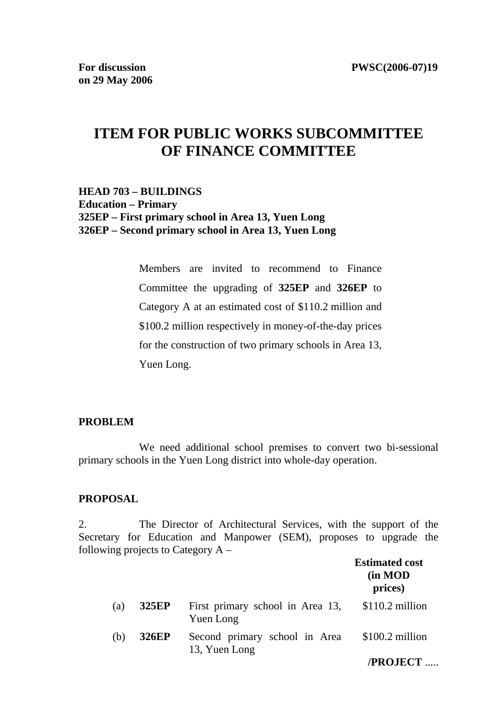# **ITEM FOR PUBLIC WORKS SUBCOMMITTEE OF FINANCE COMMITTEE**

### **HEAD 703 – BUILDINGS Education – Primary 325EP – First primary school in Area 13, Yuen Long 326EP – Second primary school in Area 13, Yuen Long**

Members are invited to recommend to Finance Committee the upgrading of **325EP** and **326EP** to Category A at an estimated cost of \$110.2 million and \$100.2 million respectively in money-of-the-day prices for the construction of two primary schools in Area 13, Yuen Long.

### **PROBLEM**

 We need additional school premises to convert two bi-sessional primary schools in the Yuen Long district into whole-day operation.

#### **PROPOSAL**

2. The Director of Architectural Services, with the support of the Secretary for Education and Manpower (SEM), proposes to upgrade the following projects to Category  $A -$ **Estimated cost** 

|     |              |                                                | <b>Estimated cost</b><br>(in MOD<br>prices) |
|-----|--------------|------------------------------------------------|---------------------------------------------|
| (a) | <b>325EP</b> | First primary school in Area 13,<br>Yuen Long  | $$110.2$ million                            |
| (b) | <b>326EP</b> | Second primary school in Area<br>13, Yuen Long | $$100.2$ million                            |
|     |              |                                                | /PROJECT                                    |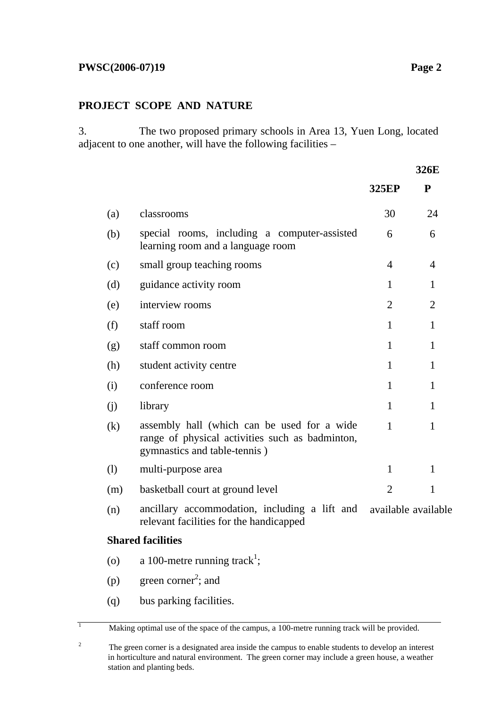### **PROJECT SCOPE AND NATURE**

3. The two proposed primary schools in Area 13, Yuen Long, located adjacent to one another, will have the following facilities –

|     |                                                                                                                                |                | 326E                |
|-----|--------------------------------------------------------------------------------------------------------------------------------|----------------|---------------------|
|     |                                                                                                                                | <b>325EP</b>   | ${\bf P}$           |
| (a) | classrooms                                                                                                                     | 30             | 24                  |
| (b) | special rooms, including a computer-assisted<br>learning room and a language room                                              | 6              | 6                   |
| (c) | small group teaching rooms                                                                                                     | 4              | $\overline{4}$      |
| (d) | guidance activity room                                                                                                         | $\mathbf{1}$   | $\mathbf{1}$        |
| (e) | interview rooms                                                                                                                | $\overline{2}$ | $\overline{2}$      |
| (f) | staff room                                                                                                                     | $\mathbf{1}$   | $\mathbf{1}$        |
| (g) | staff common room                                                                                                              | $\mathbf{1}$   | 1                   |
| (h) | student activity centre                                                                                                        | $\mathbf{1}$   | $\mathbf{1}$        |
| (i) | conference room                                                                                                                | $\mathbf{1}$   | $\mathbf{1}$        |
| (i) | library                                                                                                                        | $\mathbf{1}$   | $\mathbf{1}$        |
| (k) | assembly hall (which can be used for a wide<br>range of physical activities such as badminton,<br>gymnastics and table-tennis) | $\mathbf{1}$   | $\mathbf{1}$        |
| (1) | multi-purpose area                                                                                                             | $\mathbf{1}$   | 1                   |
| (m) | basketball court at ground level                                                                                               | $\overline{2}$ | $\mathbf{1}$        |
| (n) | ancillary accommodation, including a lift and<br>relevant facilities for the handicapped                                       |                | available available |
|     | <b>Shared facilities</b>                                                                                                       |                |                     |
| (0) | a 100-metre running track <sup>1</sup> ;                                                                                       |                |                     |
| (p) | green corner <sup>2</sup> ; and                                                                                                |                |                     |

(q) bus parking facilities.

 $\overline{1}$ 

Making optimal use of the space of the campus, a 100-metre running track will be provided.

**326E**

<sup>2</sup> The green corner is a designated area inside the campus to enable students to develop an interest in horticulture and natural environment. The green corner may include a green house, a weather station and planting beds.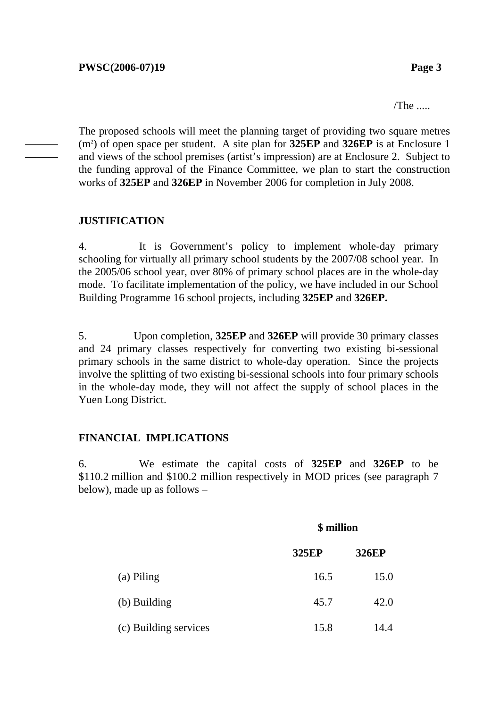/The .....

The proposed schools will meet the planning target of providing two square metres (m2 ) of open space per student. A site plan for **325EP** and **326EP** is at Enclosure 1 and views of the school premises (artist's impression) are at Enclosure 2. Subject to the funding approval of the Finance Committee, we plan to start the construction works of **325EP** and **326EP** in November 2006 for completion in July 2008.

### **JUSTIFICATION**

——— ———

> 4. It is Government's policy to implement whole-day primary schooling for virtually all primary school students by the 2007/08 school year. In the 2005/06 school year, over 80% of primary school places are in the whole-day mode. To facilitate implementation of the policy, we have included in our School Building Programme 16 school projects, including **325EP** and **326EP.**

> 5. Upon completion, **325EP** and **326EP** will provide 30 primary classes and 24 primary classes respectively for converting two existing bi-sessional primary schools in the same district to whole-day operation. Since the projects involve the splitting of two existing bi-sessional schools into four primary schools in the whole-day mode, they will not affect the supply of school places in the Yuen Long District.

### **FINANCIAL IMPLICATIONS**

6. We estimate the capital costs of **325EP** and **326EP** to be \$110.2 million and \$100.2 million respectively in MOD prices (see paragraph 7 below), made up as follows –

|                       | \$ million   |              |  |  |
|-----------------------|--------------|--------------|--|--|
|                       | <b>325EP</b> | <b>326EP</b> |  |  |
| (a) Piling            | 16.5         | 15.0         |  |  |
| (b) Building          | 45.7         | 42.0         |  |  |
| (c) Building services | 15.8         | 14.4         |  |  |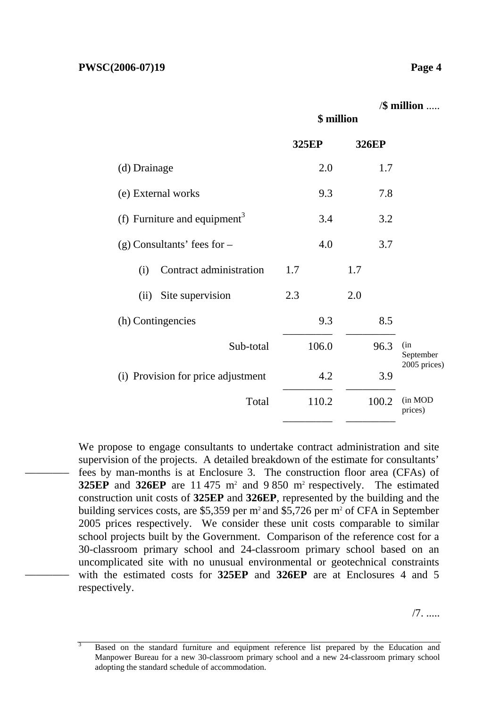––––––––

––––––––

|                                          | \$ million   |              | /\$ million        |
|------------------------------------------|--------------|--------------|--------------------|
|                                          | <b>325EP</b> | <b>326EP</b> |                    |
| (d) Drainage                             | 2.0          | 1.7          |                    |
| (e) External works                       | 9.3          | 7.8          |                    |
| (f) Furniture and equipment <sup>3</sup> | 3.4          | 3.2          |                    |
| $(g)$ Consultants' fees for $-$          | 4.0          | 3.7          |                    |
| Contract administration<br>(i)           | 1.7          | 1.7          |                    |
| Site supervision<br>(ii)                 | 2.3          | 2.0          |                    |
| (h) Contingencies                        | 9.3          | 8.5          |                    |
| Sub-total                                | 106.0        | 96.3         | (in<br>September   |
| (i) Provision for price adjustment       | 4.2          | 3.9          | 2005 prices)       |
| Total                                    | 110.2        | 100.2        | (in MOD<br>prices) |
|                                          |              |              |                    |

We propose to engage consultants to undertake contract administration and site supervision of the projects. A detailed breakdown of the estimate for consultants' fees by man-months is at Enclosure 3. The construction floor area (CFAs) of **325EP** and **326EP** are 11 475 m<sup>2</sup> and 9 850 m<sup>2</sup> respectively. The estimated construction unit costs of **325EP** and **326EP**, represented by the building and the building services costs, are \$5,359 per  $m^2$  and \$5,726 per  $m^2$  of CFA in September 2005 prices respectively. We consider these unit costs comparable to similar school projects built by the Government. Comparison of the reference cost for a 30-classroom primary school and 24-classroom primary school based on an uncomplicated site with no unusual environmental or geotechnical constraints with the estimated costs for **325EP** and **326EP** are at Enclosures 4 and 5 respectively.

/7. .....

<sup>3</sup> Based on the standard furniture and equipment reference list prepared by the Education and Manpower Bureau for a new 30-classroom primary school and a new 24-classroom primary school adopting the standard schedule of accommodation.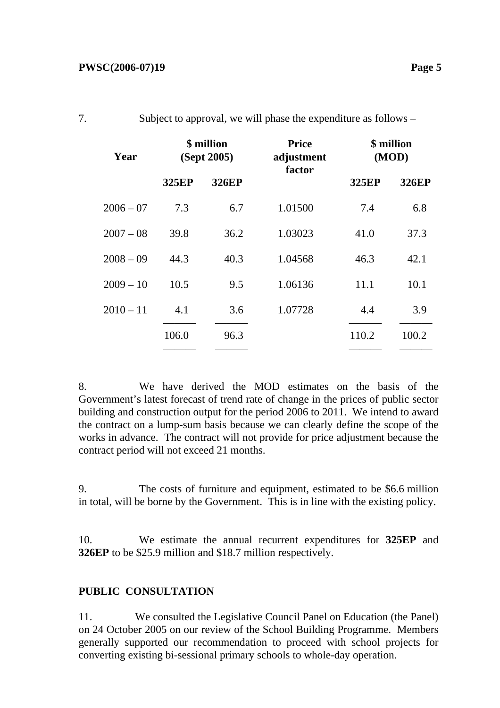| Year        | \$ million<br>(Sept 2005) |              | <b>Price</b><br>adjustment<br>factor | \$ million<br>(MOD) |              |
|-------------|---------------------------|--------------|--------------------------------------|---------------------|--------------|
|             | 325EP                     | <b>326EP</b> |                                      | 325EP               | <b>326EP</b> |
| $2006 - 07$ | 7.3                       | 6.7          | 1.01500                              | 7.4                 | 6.8          |
| $2007 - 08$ | 39.8                      | 36.2         | 1.03023                              | 41.0                | 37.3         |
| $2008 - 09$ | 44.3                      | 40.3         | 1.04568                              | 46.3                | 42.1         |
| $2009 - 10$ | 10.5                      | 9.5          | 1.06136                              | 11.1                | 10.1         |
| $2010 - 11$ | 4.1                       | 3.6          | 1.07728                              | 4.4                 | 3.9          |
|             | 106.0                     | 96.3         |                                      | 110.2               | 100.2        |
|             |                           |              |                                      |                     |              |

|  | Subject to approval, we will phase the expenditure as follows – |
|--|-----------------------------------------------------------------|
|  |                                                                 |

8. We have derived the MOD estimates on the basis of the Government's latest forecast of trend rate of change in the prices of public sector building and construction output for the period 2006 to 2011. We intend to award the contract on a lump-sum basis because we can clearly define the scope of the works in advance. The contract will not provide for price adjustment because the contract period will not exceed 21 months.

9. The costs of furniture and equipment, estimated to be \$6.6 million in total, will be borne by the Government. This is in line with the existing policy.

10. We estimate the annual recurrent expenditures for **325EP** and **326EP** to be \$25.9 million and \$18.7 million respectively.

### **PUBLIC CONSULTATION**

11. We consulted the Legislative Council Panel on Education (the Panel) on 24 October 2005 on our review of the School Building Programme. Members generally supported our recommendation to proceed with school projects for converting existing bi-sessional primary schools to whole-day operation.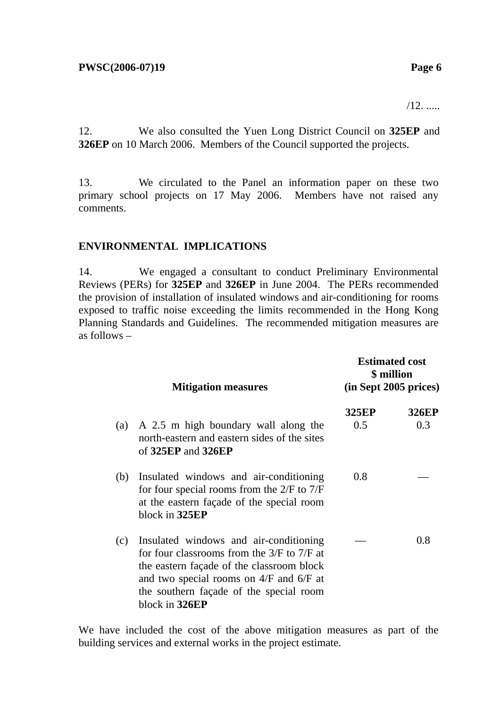/12. .....

12. We also consulted the Yuen Long District Council on **325EP** and **326EP** on 10 March 2006. Members of the Council supported the projects.

13. We circulated to the Panel an information paper on these two primary school projects on 17 May 2006. Members have not raised any comments.

### **ENVIRONMENTAL IMPLICATIONS**

14. We engaged a consultant to conduct Preliminary Environmental Reviews (PERs) for **325EP** and **326EP** in June 2004. The PERs recommended the provision of installation of insulated windows and air-conditioning for rooms exposed to traffic noise exceeding the limits recommended in the Hong Kong Planning Standards and Guidelines. The recommended mitigation measures are as follows –

|     | <b>Mitigation measures</b>                                                                                                                                                                                                                        | <b>Estimated cost</b><br>\$ million<br>$(in$ Sept 2005 prices $)$ |                     |  |
|-----|---------------------------------------------------------------------------------------------------------------------------------------------------------------------------------------------------------------------------------------------------|-------------------------------------------------------------------|---------------------|--|
| (a) | A 2.5 m high boundary wall along the<br>north-eastern and eastern sides of the sites<br>of $325EP$ and $326EP$                                                                                                                                    | <b>325EP</b><br>0.5                                               | <b>326EP</b><br>0.3 |  |
| (b) | Insulated windows and air-conditioning<br>for four special rooms from the $2/F$ to $7/F$<br>at the eastern façade of the special room<br>block in 325EP                                                                                           | 0.8                                                               |                     |  |
| (c) | Insulated windows and air-conditioning<br>for four classrooms from the $3/F$ to $7/F$ at<br>the eastern façade of the classroom block<br>and two special rooms on $4/F$ and $6/F$ at<br>the southern façade of the special room<br>block in 326EP |                                                                   | 0.8                 |  |

We have included the cost of the above mitigation measures as part of the building services and external works in the project estimate.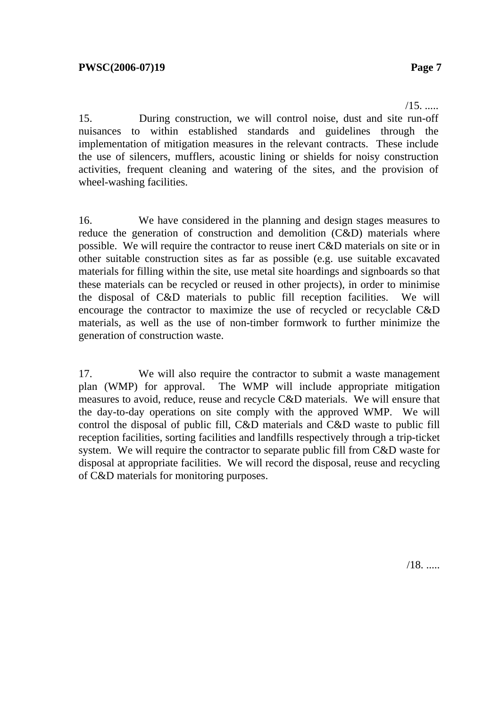$/15.$  .....

15. During construction, we will control noise, dust and site run-off nuisances to within established standards and guidelines through the implementation of mitigation measures in the relevant contracts. These include the use of silencers, mufflers, acoustic lining or shields for noisy construction activities, frequent cleaning and watering of the sites, and the provision of wheel-washing facilities.

16. We have considered in the planning and design stages measures to reduce the generation of construction and demolition (C&D) materials where possible. We will require the contractor to reuse inert C&D materials on site or in other suitable construction sites as far as possible (e.g. use suitable excavated materials for filling within the site, use metal site hoardings and signboards so that these materials can be recycled or reused in other projects), in order to minimise the disposal of C&D materials to public fill reception facilities. We will encourage the contractor to maximize the use of recycled or recyclable C&D materials, as well as the use of non-timber formwork to further minimize the generation of construction waste.

17. We will also require the contractor to submit a waste management plan (WMP) for approval. The WMP will include appropriate mitigation measures to avoid, reduce, reuse and recycle C&D materials. We will ensure that the day-to-day operations on site comply with the approved WMP. We will control the disposal of public fill, C&D materials and C&D waste to public fill reception facilities, sorting facilities and landfills respectively through a trip-ticket system. We will require the contractor to separate public fill from C&D waste for disposal at appropriate facilities. We will record the disposal, reuse and recycling of C&D materials for monitoring purposes.

/18. .....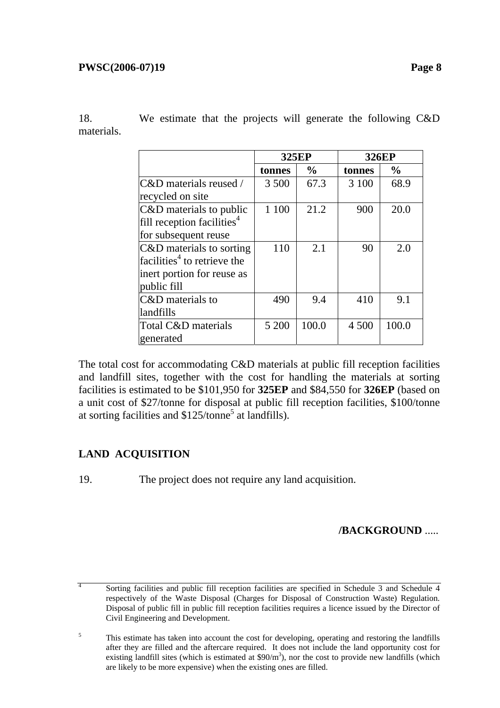18. We estimate that the projects will generate the following C&D materials.

|                                         | <b>325EP</b> |               | <b>326EP</b> |               |
|-----------------------------------------|--------------|---------------|--------------|---------------|
|                                         | tonnes       | $\frac{0}{0}$ | tonnes       | $\frac{6}{6}$ |
| C&D materials reused /                  | 3 500        | 67.3          | 3 100        | 68.9          |
| recycled on site                        |              |               |              |               |
| C&D materials to public                 | 1 100        | 21.2          | 900          | 20.0          |
| fill reception facilities <sup>4</sup>  |              |               |              |               |
| for subsequent reuse                    |              |               |              |               |
| C&D materials to sorting                | 110          | 2.1           | 90           | 2.0           |
| facilities <sup>4</sup> to retrieve the |              |               |              |               |
| inert portion for reuse as              |              |               |              |               |
| public fill                             |              |               |              |               |
| C&D materials to                        | 490          | 9.4           | 410          | 9.1           |
| landfills                               |              |               |              |               |
| Total C&D materials                     | 5 200        | 100.0         | 4 500        | 100.0         |
| generated                               |              |               |              |               |

The total cost for accommodating C&D materials at public fill reception facilities and landfill sites, together with the cost for handling the materials at sorting facilities is estimated to be \$101,950 for **325EP** and \$84,550 for **326EP** (based on a unit cost of \$27/tonne for disposal at public fill reception facilities, \$100/tonne at sorting facilities and \$125/tonne<sup>5</sup> at landfills).

## **LAND ACQUISITION**

19. The project does not require any land acquisition.

**/BACKGROUND** .....

4 Sorting facilities and public fill reception facilities are specified in Schedule 3 and Schedule 4 respectively of the Waste Disposal (Charges for Disposal of Construction Waste) Regulation. Disposal of public fill in public fill reception facilities requires a licence issued by the Director of Civil Engineering and Development.

<sup>5</sup> This estimate has taken into account the cost for developing, operating and restoring the landfills after they are filled and the aftercare required. It does not include the land opportunity cost for existing landfill sites (which is estimated at  $$90/m<sup>3</sup>$ ), nor the cost to provide new landfills (which are likely to be more expensive) when the existing ones are filled.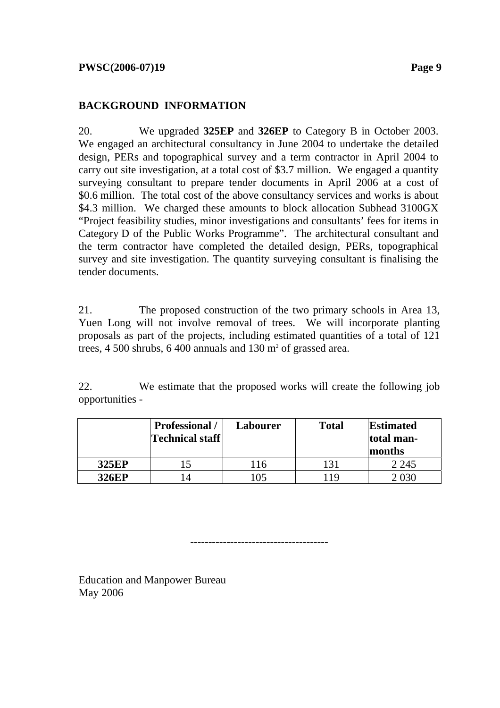### **BACKGROUND INFORMATION**

20. We upgraded **325EP** and **326EP** to Category B in October 2003. We engaged an architectural consultancy in June 2004 to undertake the detailed design, PERs and topographical survey and a term contractor in April 2004 to carry out site investigation, at a total cost of \$3.7 million. We engaged a quantity surveying consultant to prepare tender documents in April 2006 at a cost of \$0.6 million. The total cost of the above consultancy services and works is about \$4.3 million. We charged these amounts to block allocation Subhead 3100GX "Project feasibility studies, minor investigations and consultants' fees for items in Category D of the Public Works Programme". The architectural consultant and the term contractor have completed the detailed design, PERs, topographical survey and site investigation. The quantity surveying consultant is finalising the tender documents.

21. The proposed construction of the two primary schools in Area 13, Yuen Long will not involve removal of trees. We will incorporate planting proposals as part of the projects, including estimated quantities of a total of 121 trees,  $4\,500$  shrubs,  $6\,400$  annuals and  $130$  m<sup>2</sup> of grassed area.

22. We estimate that the proposed works will create the following job opportunities -

|              | <b>Professional</b> /<br><b>Technical staff</b> | <b>Labourer</b> | <b>Total</b> | <b>Estimated</b><br>total man-<br>months |
|--------------|-------------------------------------------------|-----------------|--------------|------------------------------------------|
| <b>325EP</b> |                                                 | ' 16            | 131          | 2 2 4 5                                  |
| <b>326EP</b> | $\overline{\mathcal{L}}$                        | 105             | 19           | )30                                      |

--------------------------------------

Education and Manpower Bureau May 2006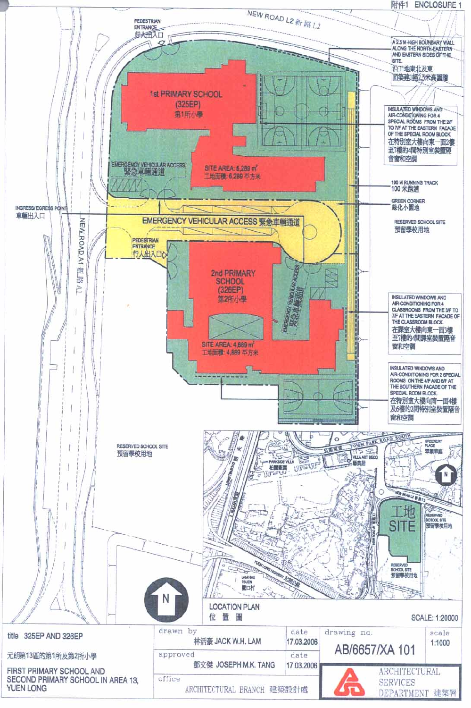附件1 **ENCLOSURE 1** 

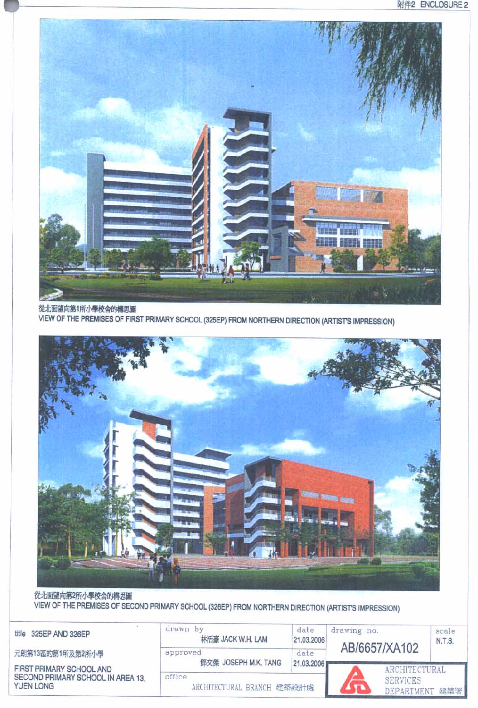

從北面望向第1所小學校舍的構思圖 VIEW OF THE PREMISES OF FIRST PRIMARY SCHOOL (325EP) FROM NORTHERN DIRECTION (ARTIST'S IMPRESSION)



從北面望向第2所小學校舍的構思圖 VIEW OF THE PREMISES OF SECOND PRIMARY SCHOOL (326EP) FROM NORTHERN DIRECTION (ARTIST'S IMPRESSION)

| 325EP AND 326EP<br>title                                                   | drawn by<br>林活豪 JACK W.H. LAM        | date<br>21.03.2006 | drawing no.<br>AB/6657/XA102 |                                                      | scale<br>N.T.S. |
|----------------------------------------------------------------------------|--------------------------------------|--------------------|------------------------------|------------------------------------------------------|-----------------|
| 元朗第13區的第1所及第2所小學                                                           | approved<br>鄧文傑 JOSEPH M.K. TANG     | date<br>21.03.2006 |                              |                                                      |                 |
| FIRST PRIMARY SCHOOL AND<br>SECOND PRIMARY SCHOOL IN AREA 13.<br>YUEN LONG | office<br>ARCHITECTURAL BRANCH 建築設計處 |                    |                              | ARCHITECTURAL<br><b>SERVICES</b><br><b>DEPARTMEN</b> | 建築署             |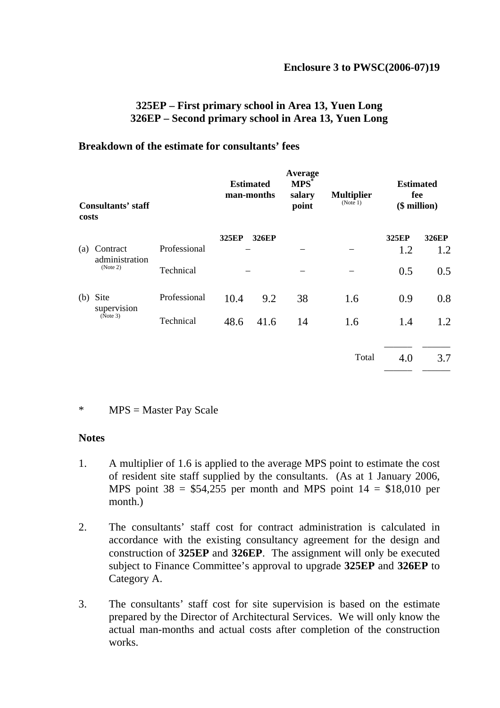### **325EP – First primary school in Area 13, Yuen Long 326EP – Second primary school in Area 13, Yuen Long**

#### **Breakdown of the estimate for consultants' fees**

| Consultants' staff<br>costs |                            | <b>Estimated</b><br>man-months |       | Average<br>MPS <sup>*</sup><br>salary<br>point | <b>Multiplier</b><br>(Note 1) | <b>Estimated</b><br>fee<br>$($$ million $)$ |       |              |
|-----------------------------|----------------------------|--------------------------------|-------|------------------------------------------------|-------------------------------|---------------------------------------------|-------|--------------|
|                             |                            |                                | 325EP | <b>326EP</b>                                   |                               |                                             | 325EP | <b>326EP</b> |
| (a)                         | Contract<br>administration | Professional                   |       |                                                |                               |                                             | 1.2   | 1.2          |
|                             | (Note 2)                   | Technical                      |       |                                                |                               |                                             | 0.5   | 0.5          |
| (b)                         | Site<br>supervision        | Professional                   | 10.4  | 9.2                                            | 38                            | 1.6                                         | 0.9   | 0.8          |
|                             | (Note 3)                   | Technical                      | 48.6  | 41.6                                           | 14                            | 1.6                                         | 1.4   | 1.2          |
|                             |                            |                                |       |                                                |                               | Total                                       | 4.0   | 3.7          |

#### \* MPS = Master Pay Scale

#### **Notes**

- 1. A multiplier of 1.6 is applied to the average MPS point to estimate the cost of resident site staff supplied by the consultants. (As at 1 January 2006, MPS point  $38 = $54,255$  per month and MPS point  $14 = $18,010$  per month.)
- 2. The consultants' staff cost for contract administration is calculated in accordance with the existing consultancy agreement for the design and construction of **325EP** and **326EP**. The assignment will only be executed subject to Finance Committee's approval to upgrade **325EP** and **326EP** to Category A.
- 3. The consultants' staff cost for site supervision is based on the estimate prepared by the Director of Architectural Services. We will only know the actual man-months and actual costs after completion of the construction works.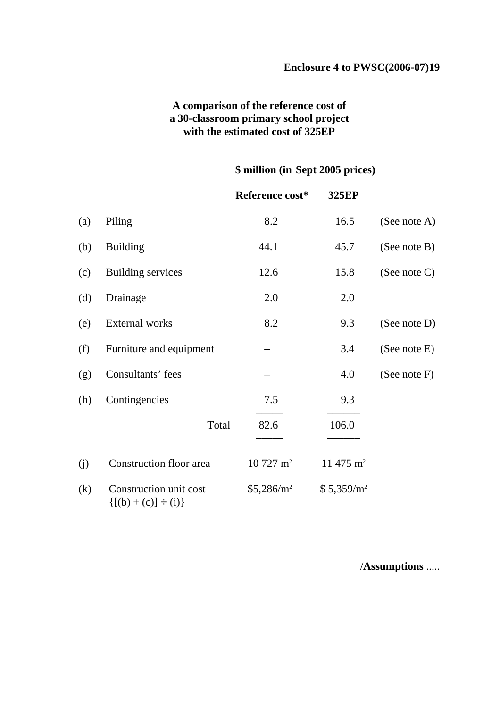### **A comparison of the reference cost of a 30-classroom primary school project with the estimated cost of 325EP**

### **\$ million (in Sept 2005 prices)**

|     |                                                       | Reference cost*     | 325EP                  |                 |
|-----|-------------------------------------------------------|---------------------|------------------------|-----------------|
| (a) | Piling                                                | 8.2                 | 16.5                   | (See note A)    |
| (b) | <b>Building</b>                                       | 44.1                | 45.7                   | (See note B)    |
| (c) | Building services                                     | 12.6                | 15.8                   | (See note $C$ ) |
| (d) | Drainage                                              | 2.0                 | 2.0                    |                 |
| (e) | External works                                        | 8.2                 | 9.3                    | (See note D)    |
| (f) | Furniture and equipment                               |                     | 3.4                    | (See note E)    |
| (g) | Consultants' fees                                     |                     | 4.0                    | (See note $F$ ) |
| (h) | Contingencies                                         | 7.5                 | 9.3                    |                 |
|     | Total                                                 | 82.6                | 106.0                  |                 |
| (j) | Construction floor area                               | $10727 \text{ m}^2$ | 11 475 $m2$            |                 |
| (k) | Construction unit cost<br>$\{[(b) + (c)] \div (i)\}\$ | $$5,286/m^2$$       | \$5,359/m <sup>2</sup> |                 |

/**Assumptions** .....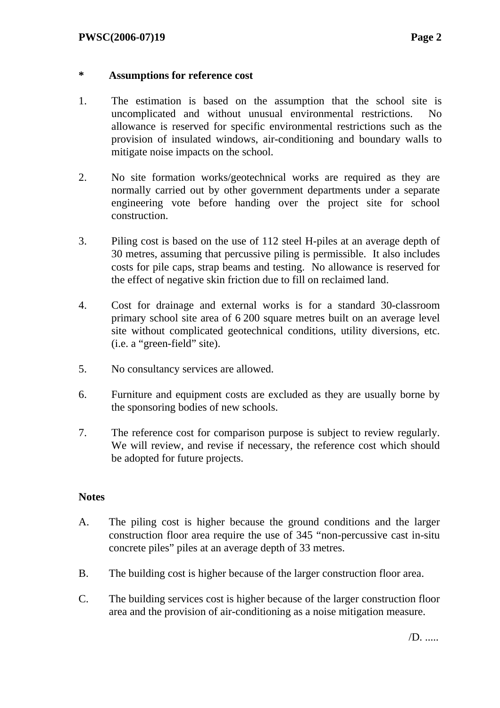### **\* Assumptions for reference cost**

- 1. The estimation is based on the assumption that the school site is uncomplicated and without unusual environmental restrictions. No allowance is reserved for specific environmental restrictions such as the provision of insulated windows, air-conditioning and boundary walls to mitigate noise impacts on the school.
- 2. No site formation works/geotechnical works are required as they are normally carried out by other government departments under a separate engineering vote before handing over the project site for school construction.
- 3. Piling cost is based on the use of 112 steel H-piles at an average depth of 30 metres, assuming that percussive piling is permissible. It also includes costs for pile caps, strap beams and testing. No allowance is reserved for the effect of negative skin friction due to fill on reclaimed land.
- 4. Cost for drainage and external works is for a standard 30-classroom primary school site area of 6 200 square metres built on an average level site without complicated geotechnical conditions, utility diversions, etc. (i.e. a "green-field" site).
- 5. No consultancy services are allowed.
- 6. Furniture and equipment costs are excluded as they are usually borne by the sponsoring bodies of new schools.
- 7. The reference cost for comparison purpose is subject to review regularly. We will review, and revise if necessary, the reference cost which should be adopted for future projects.

### **Notes**

- A. The piling cost is higher because the ground conditions and the larger construction floor area require the use of 345 "non-percussive cast in-situ concrete piles" piles at an average depth of 33 metres.
- B. The building cost is higher because of the larger construction floor area.
- C. The building services cost is higher because of the larger construction floor area and the provision of air-conditioning as a noise mitigation measure.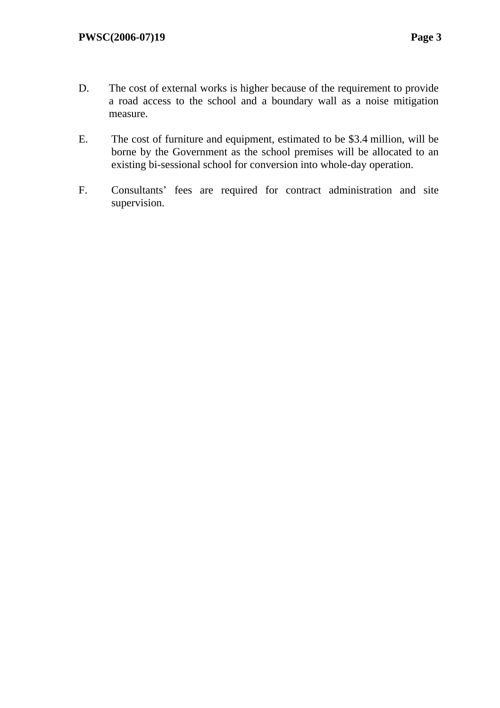- D. The cost of external works is higher because of the requirement to provide a road access to the school and a boundary wall as a noise mitigation measure.
- E. The cost of furniture and equipment, estimated to be \$3.4 million, will be borne by the Government as the school premises will be allocated to an existing bi-sessional school for conversion into whole-day operation.
- F. Consultants' fees are required for contract administration and site supervision.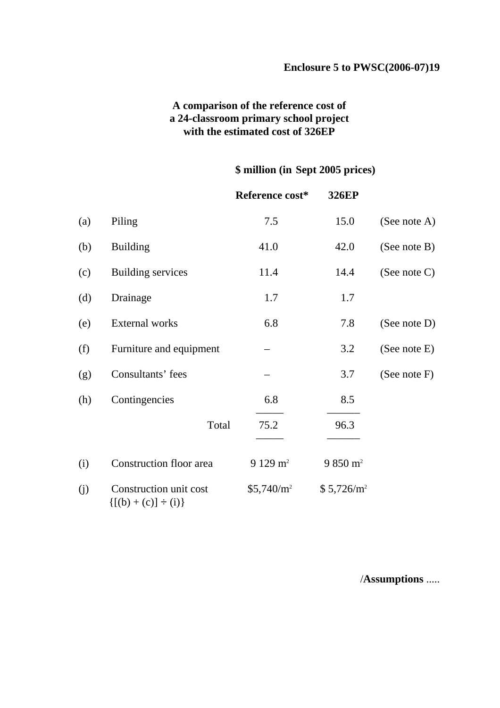### **A comparison of the reference cost of a 24-classroom primary school project with the estimated cost of 326EP**

### **\$ million (in Sept 2005 prices)**

|     |                                                       | Reference cost*    | <b>326EP</b>           |                 |
|-----|-------------------------------------------------------|--------------------|------------------------|-----------------|
| (a) | Piling                                                | 7.5                | 15.0                   | (See note A)    |
| (b) | <b>Building</b>                                       | 41.0               | 42.0                   | (See note B)    |
| (c) | <b>Building services</b>                              | 11.4               | 14.4                   | (See note C)    |
| (d) | Drainage                                              | 1.7                | 1.7                    |                 |
| (e) | External works                                        | 6.8                | 7.8                    | (See note D)    |
| (f) | Furniture and equipment                               |                    | 3.2                    | (See note E)    |
| (g) | Consultants' fees                                     |                    | 3.7                    | (See note $F$ ) |
| (h) | Contingencies                                         | 6.8                | 8.5                    |                 |
|     | Total                                                 | 75.2               | 96.3                   |                 |
| (i) | Construction floor area                               | $9129 \text{ m}^2$ | $9850 \text{ m}^2$     |                 |
| (j) | Construction unit cost<br>$\{[(b) + (c)] \div (i)\}\$ | $$5,740/m^2$       | \$5,726/m <sup>2</sup> |                 |

/**Assumptions** .....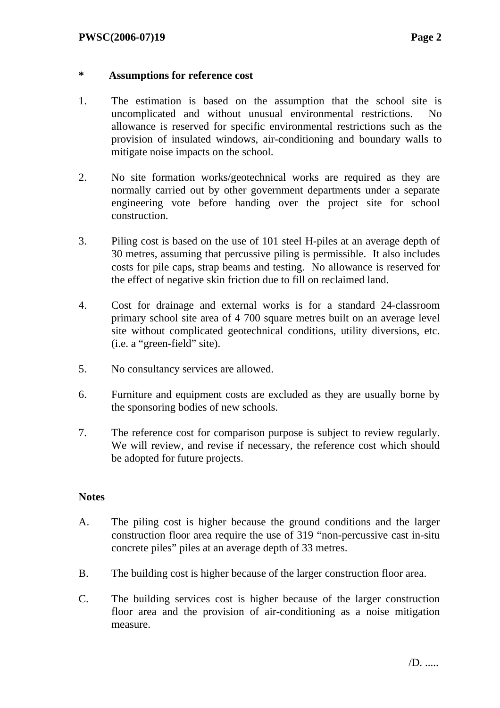### **\* Assumptions for reference cost**

- 1. The estimation is based on the assumption that the school site is uncomplicated and without unusual environmental restrictions. No allowance is reserved for specific environmental restrictions such as the provision of insulated windows, air-conditioning and boundary walls to mitigate noise impacts on the school.
- 2. No site formation works/geotechnical works are required as they are normally carried out by other government departments under a separate engineering vote before handing over the project site for school construction.
- 3. Piling cost is based on the use of 101 steel H-piles at an average depth of 30 metres, assuming that percussive piling is permissible. It also includes costs for pile caps, strap beams and testing. No allowance is reserved for the effect of negative skin friction due to fill on reclaimed land.
- 4. Cost for drainage and external works is for a standard 24-classroom primary school site area of 4 700 square metres built on an average level site without complicated geotechnical conditions, utility diversions, etc. (i.e. a "green-field" site).
- 5. No consultancy services are allowed.
- 6. Furniture and equipment costs are excluded as they are usually borne by the sponsoring bodies of new schools.
- 7. The reference cost for comparison purpose is subject to review regularly. We will review, and revise if necessary, the reference cost which should be adopted for future projects.

### **Notes**

- A. The piling cost is higher because the ground conditions and the larger construction floor area require the use of 319 "non-percussive cast in-situ concrete piles" piles at an average depth of 33 metres.
- B. The building cost is higher because of the larger construction floor area.
- C. The building services cost is higher because of the larger construction floor area and the provision of air-conditioning as a noise mitigation measure.